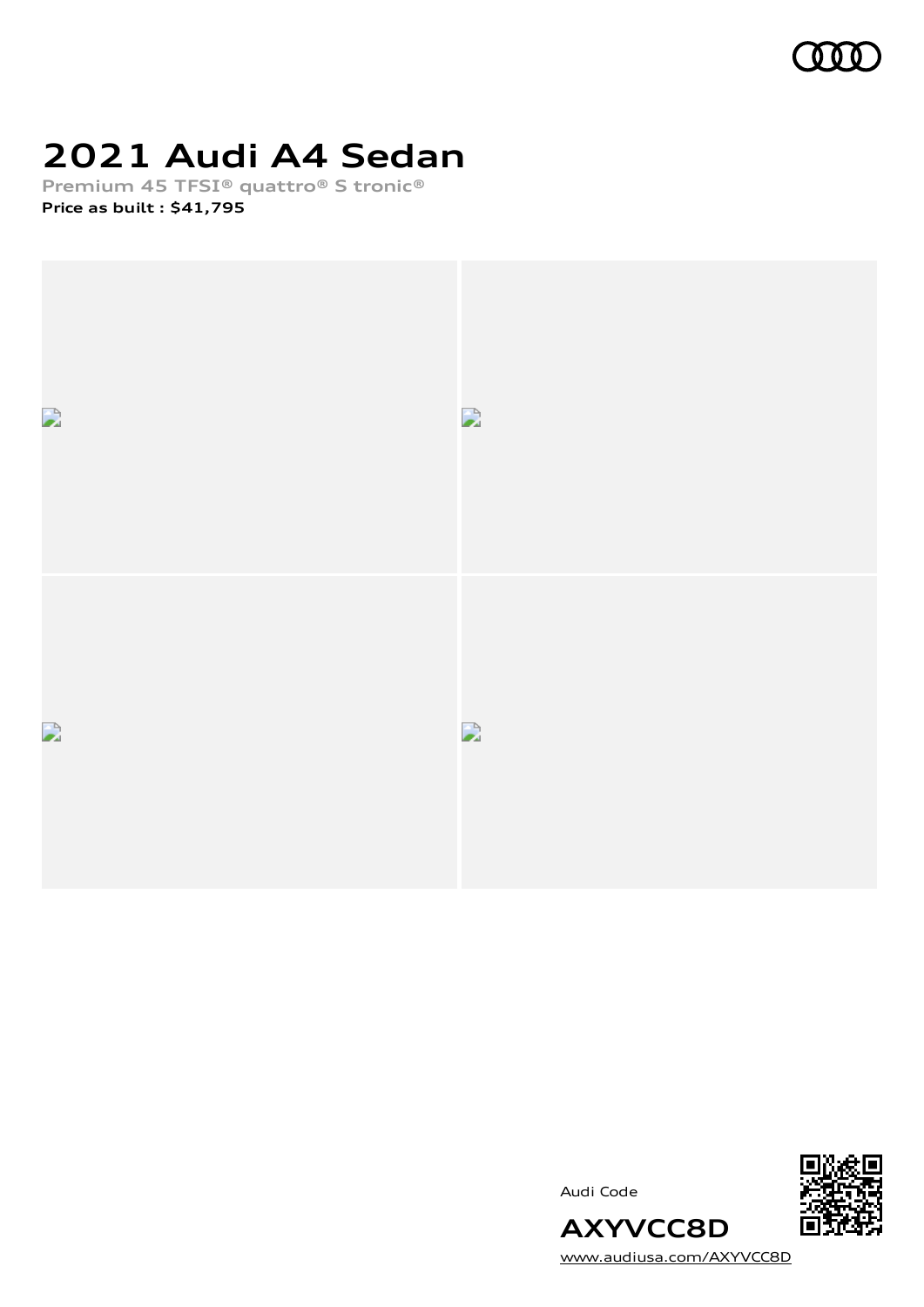

## **2021 Audi A4 Sedan**

**Premium 45 TFSI® quattro® S tronic® Price as built [:](#page-10-0) \$41,795**



Audi Code



[www.audiusa.com/AXYVCC8D](https://www.audiusa.com/AXYVCC8D)

**AXYVCC8D**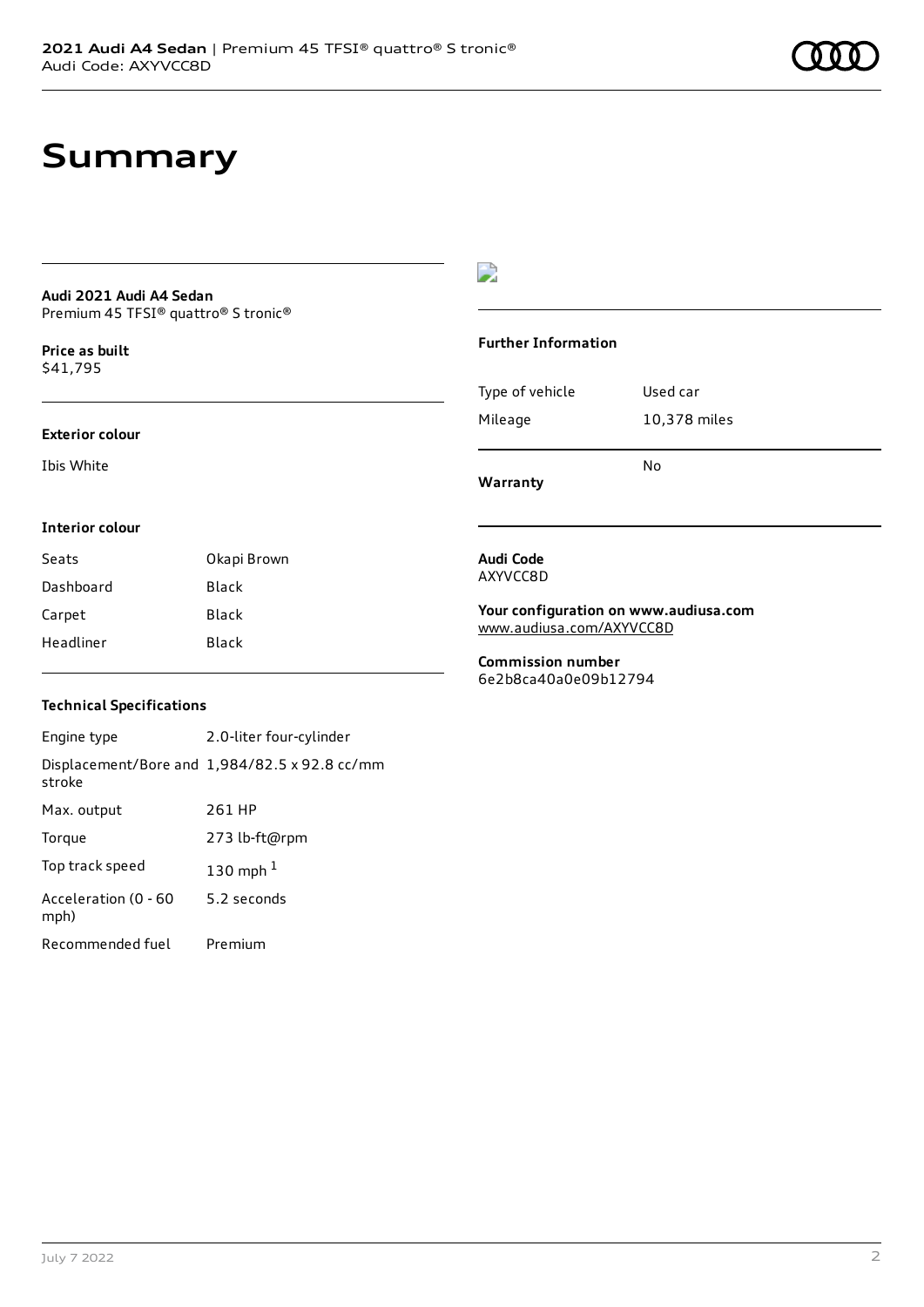## **Summary**

#### **Audi 2021 Audi A4 Sedan** Premium 45 TFSI® quattro® S tronic®

**Price as buil[t](#page-10-0)** \$41,795

#### **Exterior colour**

Ibis White

### $\overline{\phantom{a}}$

#### **Further Information**

|                 | N٥           |
|-----------------|--------------|
| Mileage         | 10,378 miles |
| Type of vehicle | Used car     |

**Warranty**

#### **Interior colour**

| Seats     | Okapi Brown |
|-----------|-------------|
| Dashboard | Black       |
| Carpet    | Black       |
| Headliner | Black       |

#### **Audi Code** AXYVCC8D

**Your configuration on www.audiusa.com** [www.audiusa.com/AXYVCC8D](https://www.audiusa.com/AXYVCC8D)

**Commission number** 6e2b8ca40a0e09b12794

### **Technical Specifications**

| Engine type                  | 2.0-liter four-cylinder                       |
|------------------------------|-----------------------------------------------|
| stroke                       | Displacement/Bore and 1,984/82.5 x 92.8 cc/mm |
| Max. output                  | 261 HP                                        |
| Torque                       | 273 lb-ft@rpm                                 |
| Top track speed              | 130 mph $1$                                   |
| Acceleration (0 - 60<br>mph) | 5.2 seconds                                   |
| Recommended fuel             | Premium                                       |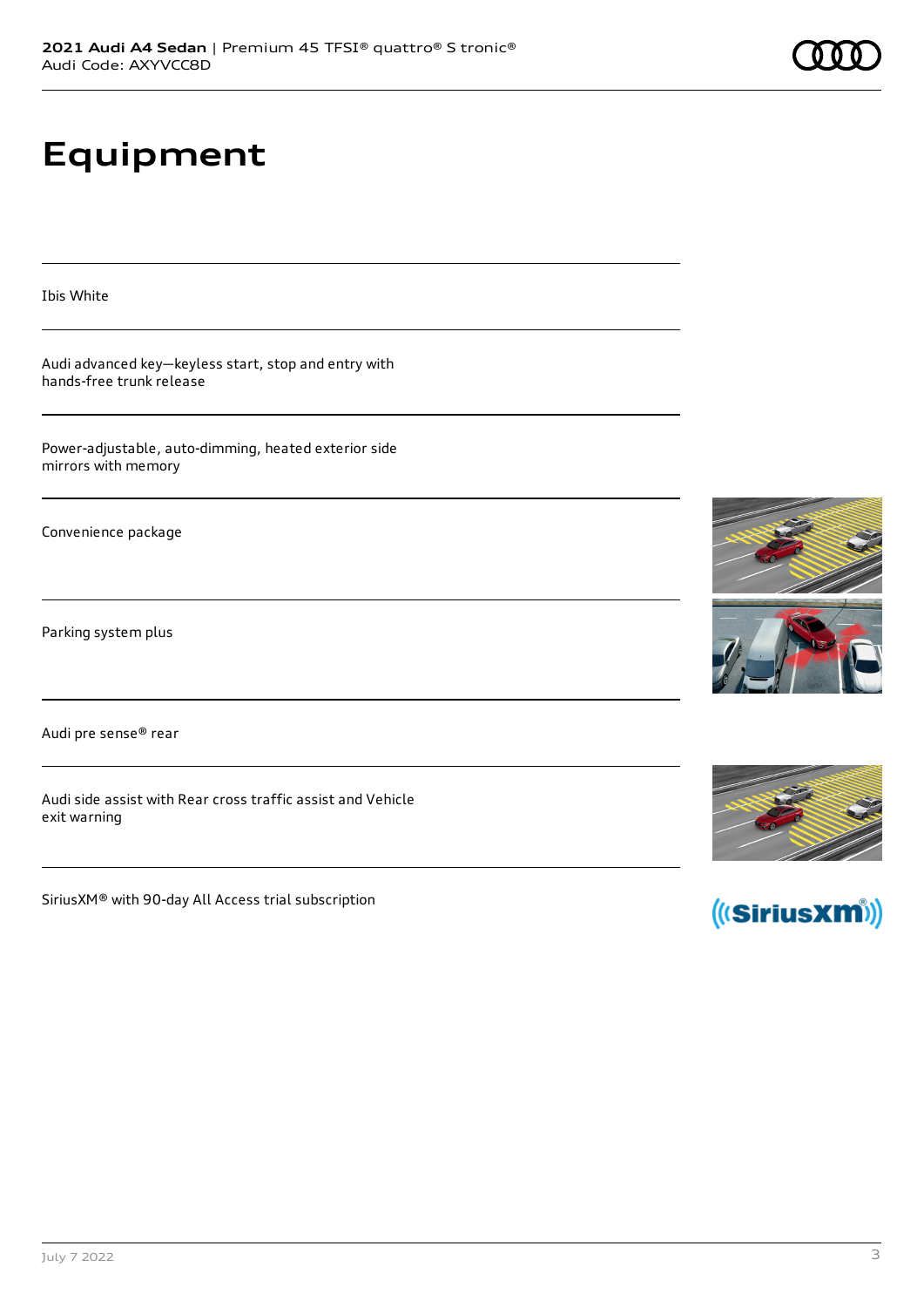# **Equipment**

Ibis White

Audi advanced key—keyless start, stop and entry with hands-free trunk release

Power-adjustable, auto-dimming, heated exterior side mirrors with memory

Convenience package

Parking system plus

Audi pre sense® rear

Audi side assist with Rear cross traffic assist and Vehicle exit warning

SiriusXM® with 90-day All Access trial subscription







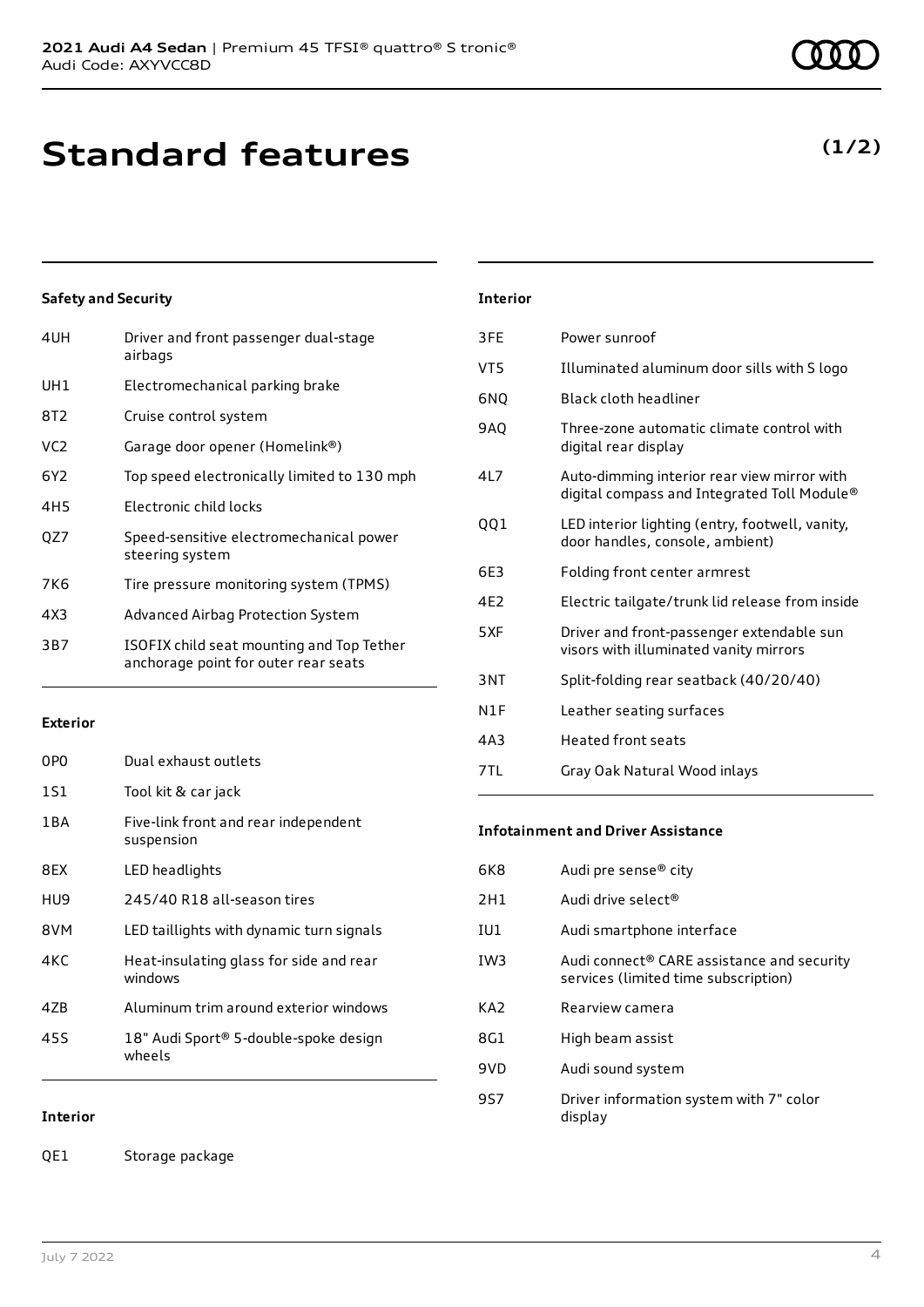| 4UH             | Driver and front passenger dual-stage<br>airbags                                  |
|-----------------|-----------------------------------------------------------------------------------|
| UH1             | Electromechanical parking brake                                                   |
| 8T2             | Cruise control system                                                             |
| VC <sub>2</sub> | Garage door opener (Homelink®)                                                    |
| 6Y2             | Top speed electronically limited to 130 mph                                       |
| 4H5             | Electronic child locks                                                            |
| OZ7             | Speed-sensitive electromechanical power<br>steering system                        |
| 7K6             | Tire pressure monitoring system (TPMS)                                            |
| 4X3             | Advanced Airbag Protection System                                                 |
| 3B7             | ISOFIX child seat mounting and Top Tether<br>anchorage point for outer rear seats |

#### **Exterior**

| 0PO   | Dual exhaust outlets                               |
|-------|----------------------------------------------------|
| 1S1   | Tool kit & car jack                                |
| 1 B A | Five-link front and rear independent<br>suspension |
| 8FX   | LED headlights                                     |
| HU9   | 245/40 R18 all-season tires                        |
| 8VM   | LED taillights with dynamic turn signals           |
| 4KC   | Heat-insulating glass for side and rear<br>windows |
| 47B   | Aluminum trim around exterior windows              |
| 45S   | 18" Audi Sport® 5-double-spoke design<br>wheels    |

### **Interior**

QE1 Storage package

| Interior |
|----------|
|----------|

| 3FE             | Power sunroof                                                                              |
|-----------------|--------------------------------------------------------------------------------------------|
| VT5             | Illuminated aluminum door sills with S logo                                                |
| 6NQ             | Black cloth headliner                                                                      |
| 9AO             | Three-zone automatic climate control with<br>digital rear display                          |
| 417             | Auto-dimming interior rear view mirror with<br>digital compass and Integrated Toll Module® |
| QQ1             | LED interior lighting (entry, footwell, vanity,<br>door handles, console, ambient)         |
| 6E3             | Folding front center armrest                                                               |
| 4F <sub>2</sub> | Electric tailgate/trunk lid release from inside                                            |
| 5XF             | Driver and front-passenger extendable sun<br>visors with illuminated vanity mirrors        |
| 3NT             | Split-folding rear seatback (40/20/40)                                                     |
| N1F             | Leather seating surfaces                                                                   |
| 4A3             | <b>Heated front seats</b>                                                                  |
| 7TL             | Gray Oak Natural Wood inlays                                                               |

#### **Infotainment and Driver Assistance**

| 6K8             | Audi pre sense <sup>®</sup> city                                                               |
|-----------------|------------------------------------------------------------------------------------------------|
| 2H1             | Audi drive select <sup>®</sup>                                                                 |
| IU1             | Audi smartphone interface                                                                      |
| IW <sub>3</sub> | Audi connect <sup>®</sup> CARE assistance and security<br>services (limited time subscription) |
| KA <sub>2</sub> | Rearview camera                                                                                |
| 8G1             | High beam assist                                                                               |
| 9VD             | Audi sound system                                                                              |
| 9S7             | Driver information system with 7" color<br>display                                             |

## **(1/2)**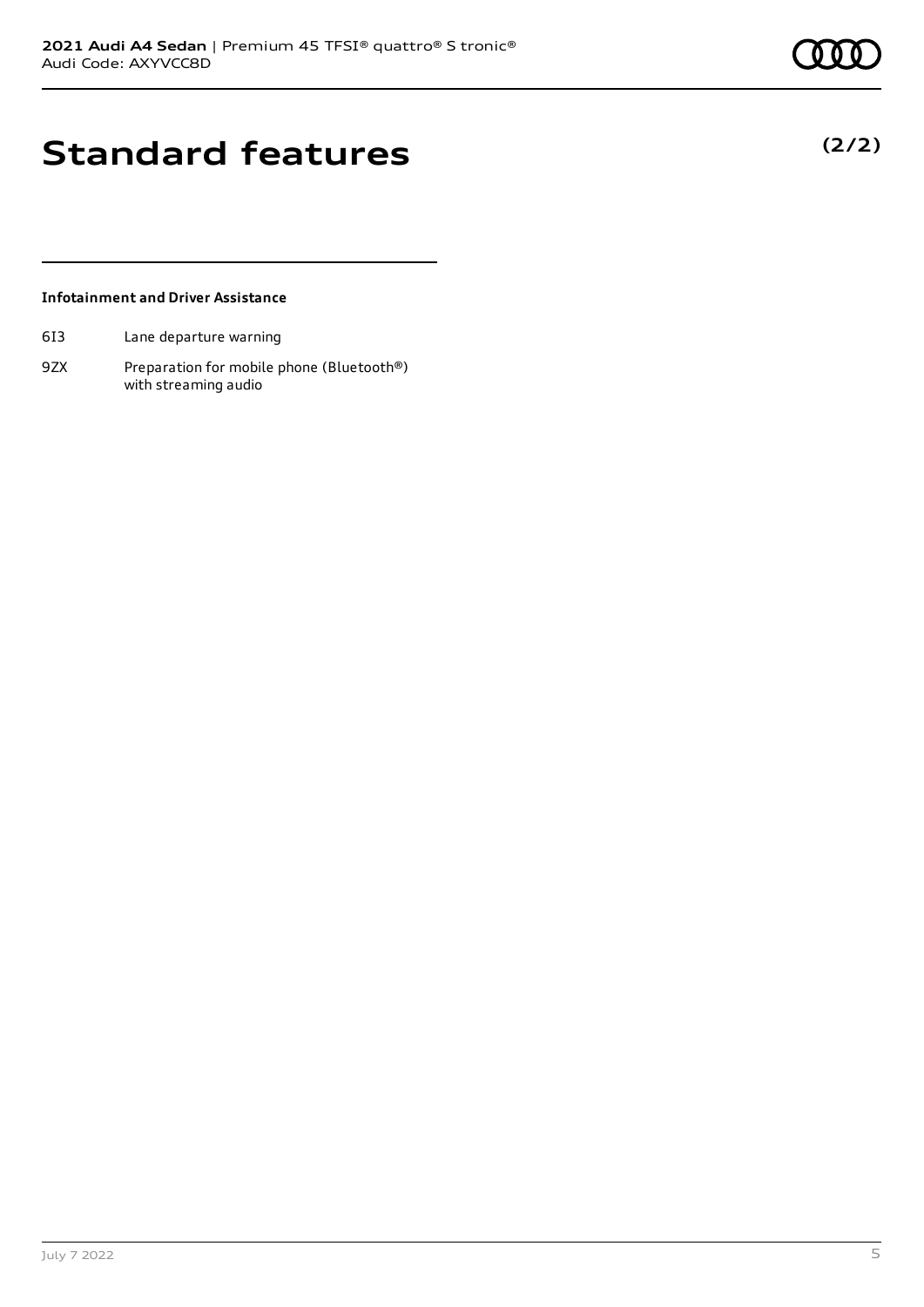**(2/2)**

## **Standard features**

#### **Infotainment and Driver Assistance**

- 6I3 Lane departure warning
- 9ZX Preparation for mobile phone (Bluetooth®) with streaming audio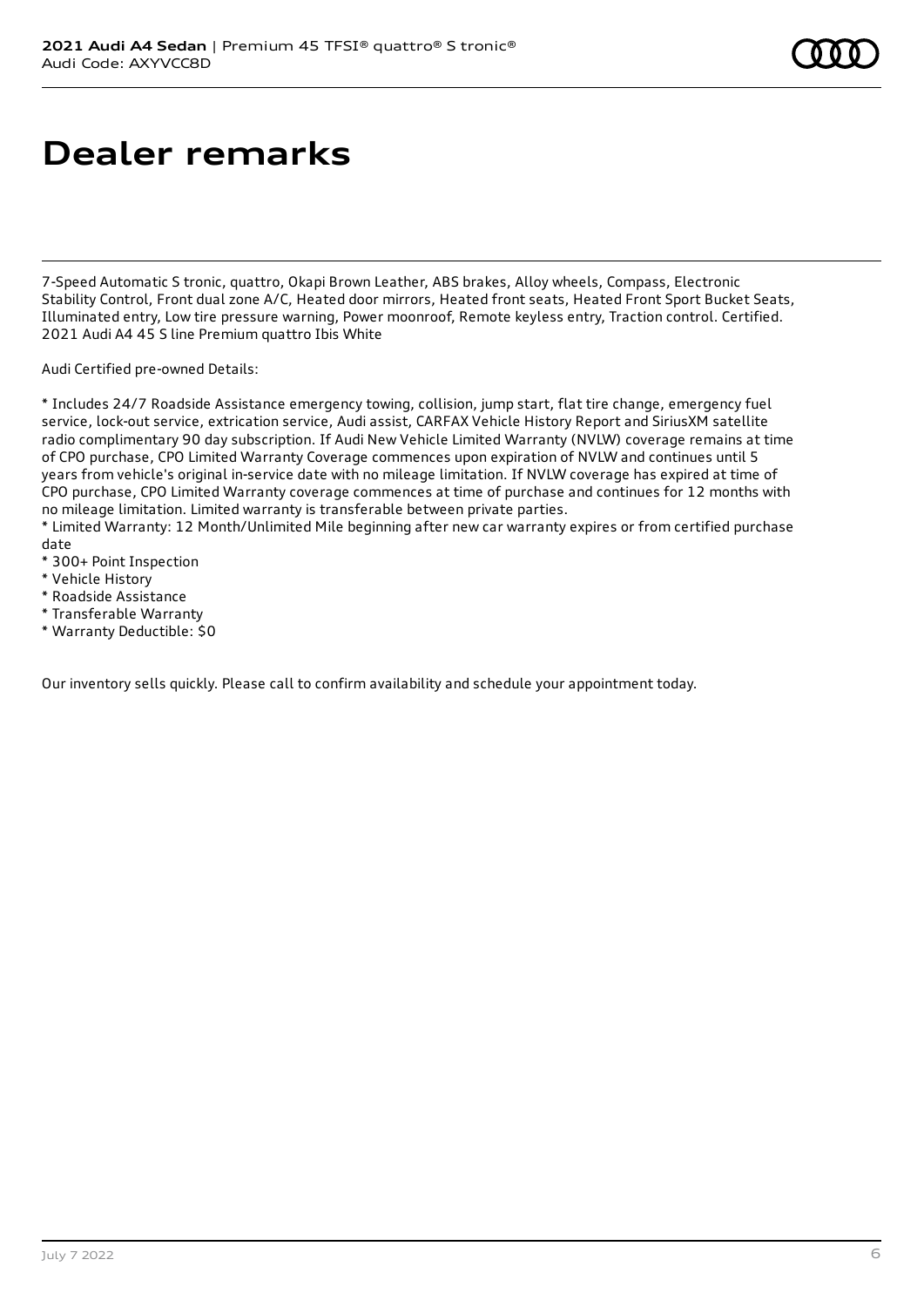## **Dealer remarks**

7-Speed Automatic S tronic, quattro, Okapi Brown Leather, ABS brakes, Alloy wheels, Compass, Electronic Stability Control, Front dual zone A/C, Heated door mirrors, Heated front seats, Heated Front Sport Bucket Seats, Illuminated entry, Low tire pressure warning, Power moonroof, Remote keyless entry, Traction control. Certified. 2021 Audi A4 45 S line Premium quattro Ibis White

Audi Certified pre-owned Details:

\* Includes 24/7 Roadside Assistance emergency towing, collision, jump start, flat tire change, emergency fuel service, lock-out service, extrication service, Audi assist, CARFAX Vehicle History Report and SiriusXM satellite radio complimentary 90 day subscription. If Audi New Vehicle Limited Warranty (NVLW) coverage remains at time of CPO purchase, CPO Limited Warranty Coverage commences upon expiration of NVLW and continues until 5 years from vehicle's original in-service date with no mileage limitation. If NVLW coverage has expired at time of CPO purchase, CPO Limited Warranty coverage commences at time of purchase and continues for 12 months with no mileage limitation. Limited warranty is transferable between private parties.

\* Limited Warranty: 12 Month/Unlimited Mile beginning after new car warranty expires or from certified purchase date

- \* 300+ Point Inspection
- \* Vehicle History
- \* Roadside Assistance
- \* Transferable Warranty
- \* Warranty Deductible: \$0

Our inventory sells quickly. Please call to confirm availability and schedule your appointment today.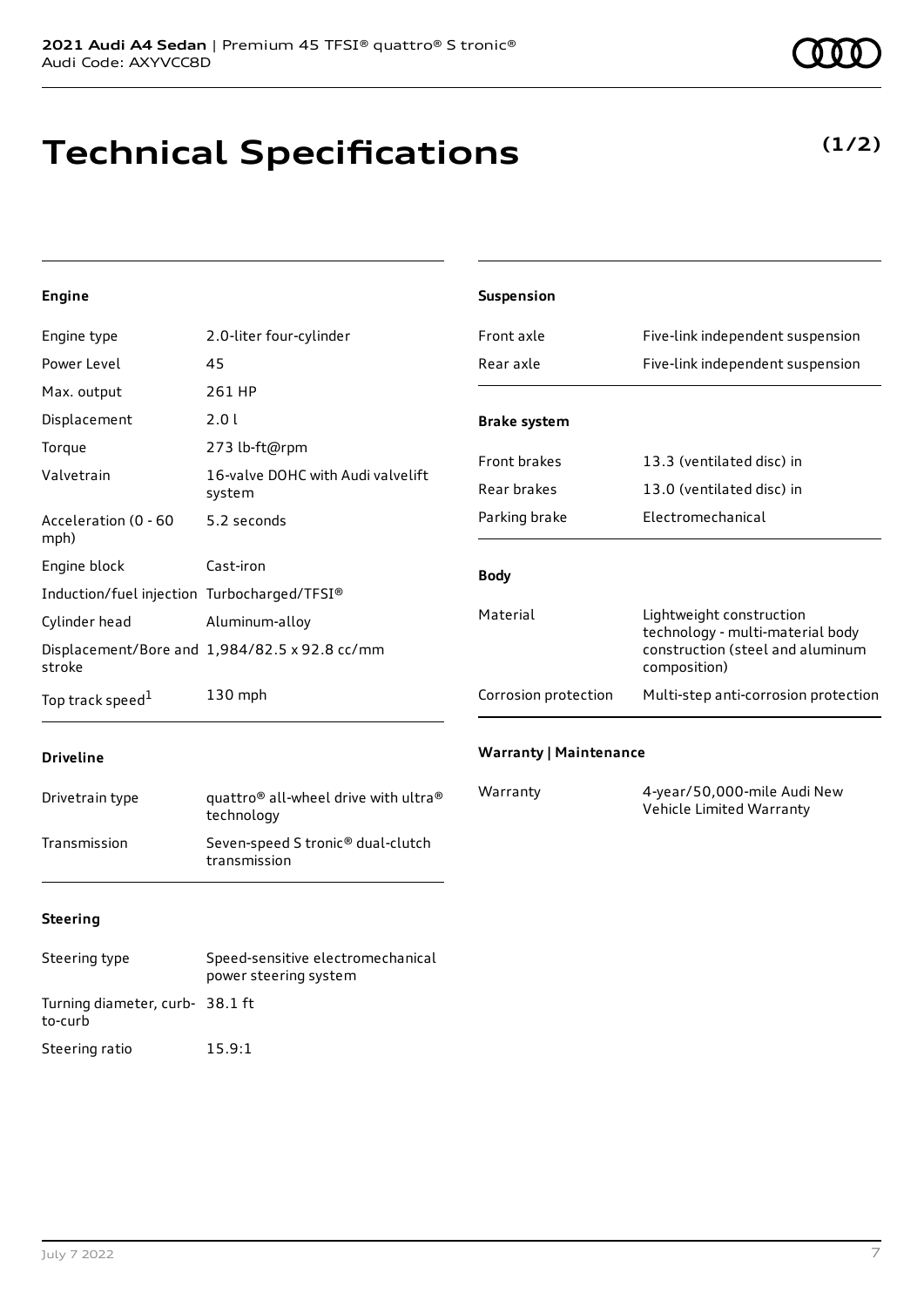# **Technical Specifications**

### **Engine**

| Engine type                                 | 2.0-liter four-cylinder                       | Front axle             | Five-link independent suspension                             |
|---------------------------------------------|-----------------------------------------------|------------------------|--------------------------------------------------------------|
| Power Level                                 | 45                                            | Rear axle              | Five-link independent suspension                             |
| Max. output                                 | 261 HP                                        |                        |                                                              |
| Displacement                                | 2.0 l                                         | <b>Brake system</b>    |                                                              |
| Torque                                      | 273 lb-ft@rpm                                 |                        |                                                              |
| Valvetrain                                  | 16-valve DOHC with Audi valvelift             | Front brakes           | 13.3 (ventilated disc) in                                    |
|                                             | system                                        | Rear brakes            | 13.0 (ventilated disc) in                                    |
| Acceleration (0 - 60<br>mph)                | 5.2 seconds                                   | Parking brake          | Electromechanical                                            |
| Engine block                                | Cast-iron                                     | <b>Body</b>            |                                                              |
| Induction/fuel injection Turbocharged/TFSI® |                                               |                        |                                                              |
| Cylinder head                               | Aluminum-alloy                                | Material               | Lightweight construction<br>technology - multi-material body |
| stroke                                      | Displacement/Bore and 1,984/82.5 x 92.8 cc/mm | composition)           | construction (steel and aluminum                             |
| Top track speed <sup>1</sup>                | 130 mph                                       | Corrosion protection   | Multi-step anti-corrosion protection                         |
|                                             |                                               | Warranty   Maintenance |                                                              |

**Suspension**

### **Driveline**

| Drivetrain type | quattro <sup>®</sup> all-wheel drive with ultra <sup>®</sup><br>technology |
|-----------------|----------------------------------------------------------------------------|
| Transmission    | Seven-speed S tronic <sup>®</sup> dual-clutch<br>transmission              |

### **Warranty | Maintenance**

| Warranty | 4-year/50,000-mile Audi New |
|----------|-----------------------------|
|          | Vehicle Limited Warranty    |

### **Steering**

| Steering type                             | Speed-sensitive electromechanical<br>power steering system |
|-------------------------------------------|------------------------------------------------------------|
| Turning diameter, curb-38.1 ft<br>to-curb |                                                            |
| Steering ratio                            | 15.9:1                                                     |



## **(1/2)**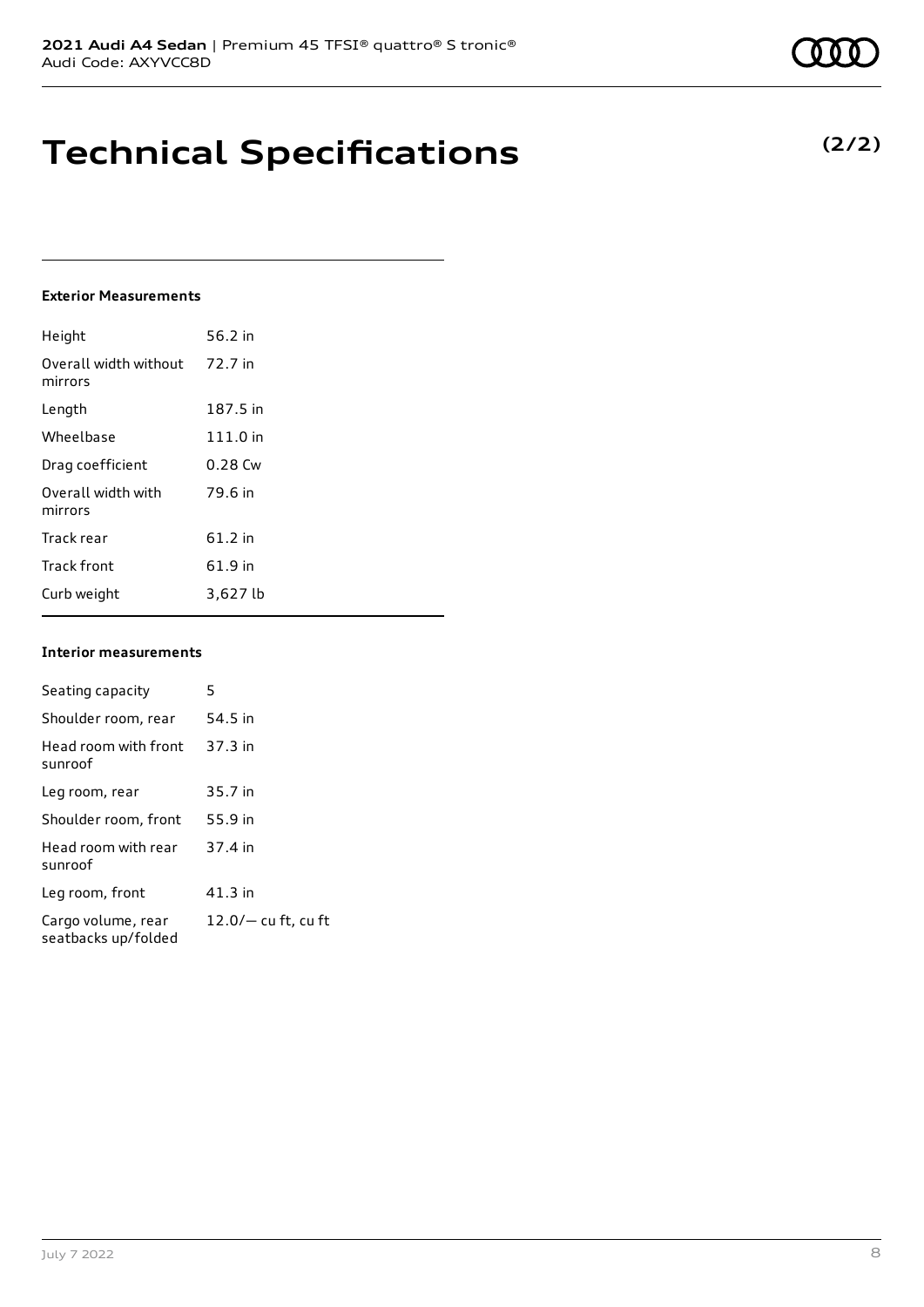## **Technical Specifications**

#### **Exterior Measurements**

| Height                           | 56.2 in   |
|----------------------------------|-----------|
| Overall width without<br>mirrors | 72.7 in   |
| Length                           | 187.5 in  |
| Wheelbase                        | 111.0 in  |
| Drag coefficient                 | $0.28$ Cw |
| Overall width with<br>mirrors    | 79.6 in   |
| Track rear                       | $61.2$ in |
| <b>Track front</b>               | 61.9 in   |
| Curb weight                      | 3,627 lb  |

#### **Interior measurements**

| Seating capacity                          | 5                     |
|-------------------------------------------|-----------------------|
| Shoulder room, rear                       | 54.5 in               |
| Head room with front<br>sunroof           | 37.3 in               |
| Leg room, rear                            | 35.7 in               |
| Shoulder room, front                      | 55.9 in               |
| Head room with rear<br>sunroof            | 37.4 in               |
| Leg room, front                           | $41.3$ in             |
| Cargo volume, rear<br>seatbacks up/folded | $12.0/-$ cu ft, cu ft |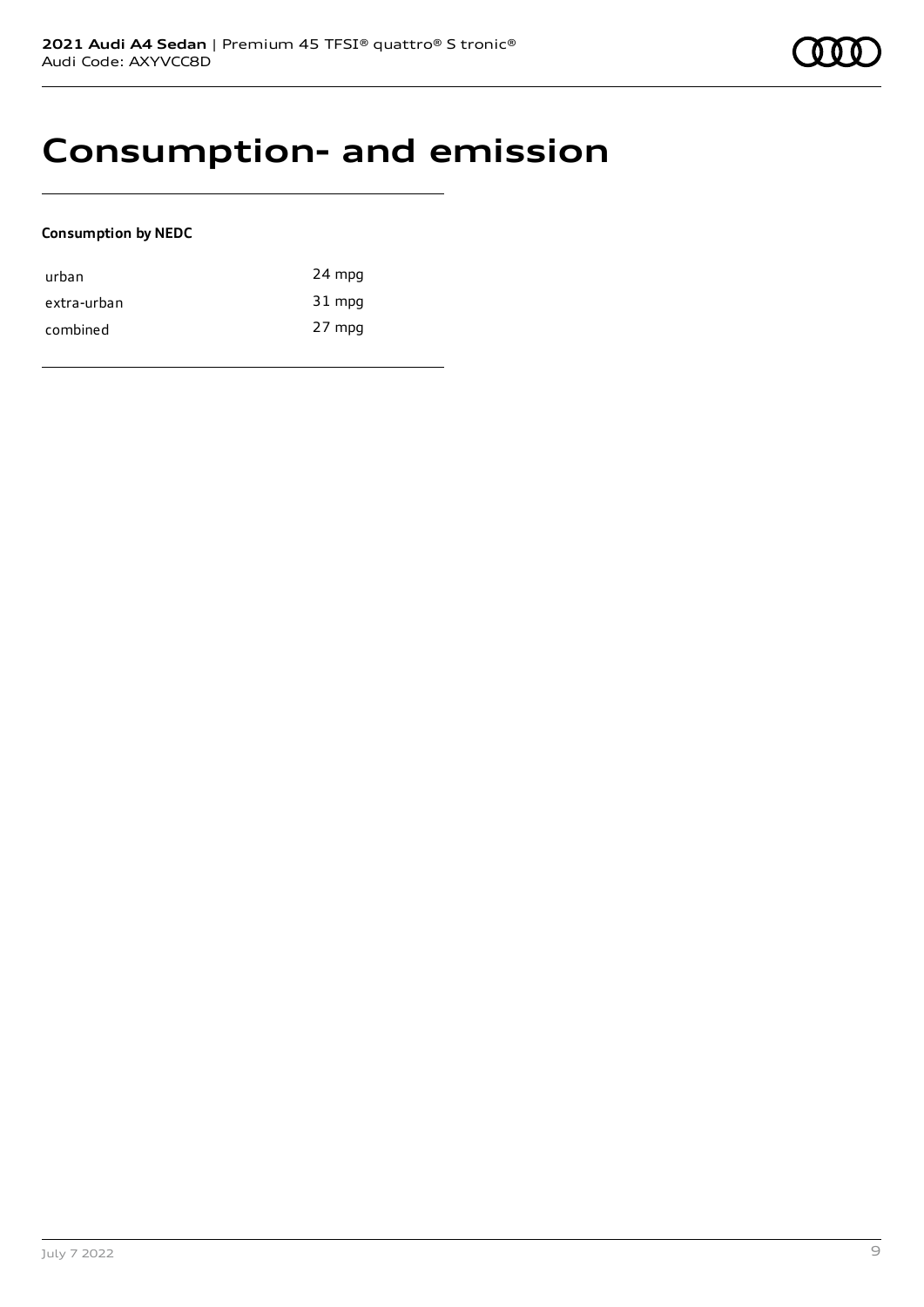## **Consumption- and emission**

### **Consumption by NEDC**

| urban       | 24 mpg |
|-------------|--------|
| extra-urban | 31 mpg |
| combined    | 27 mpg |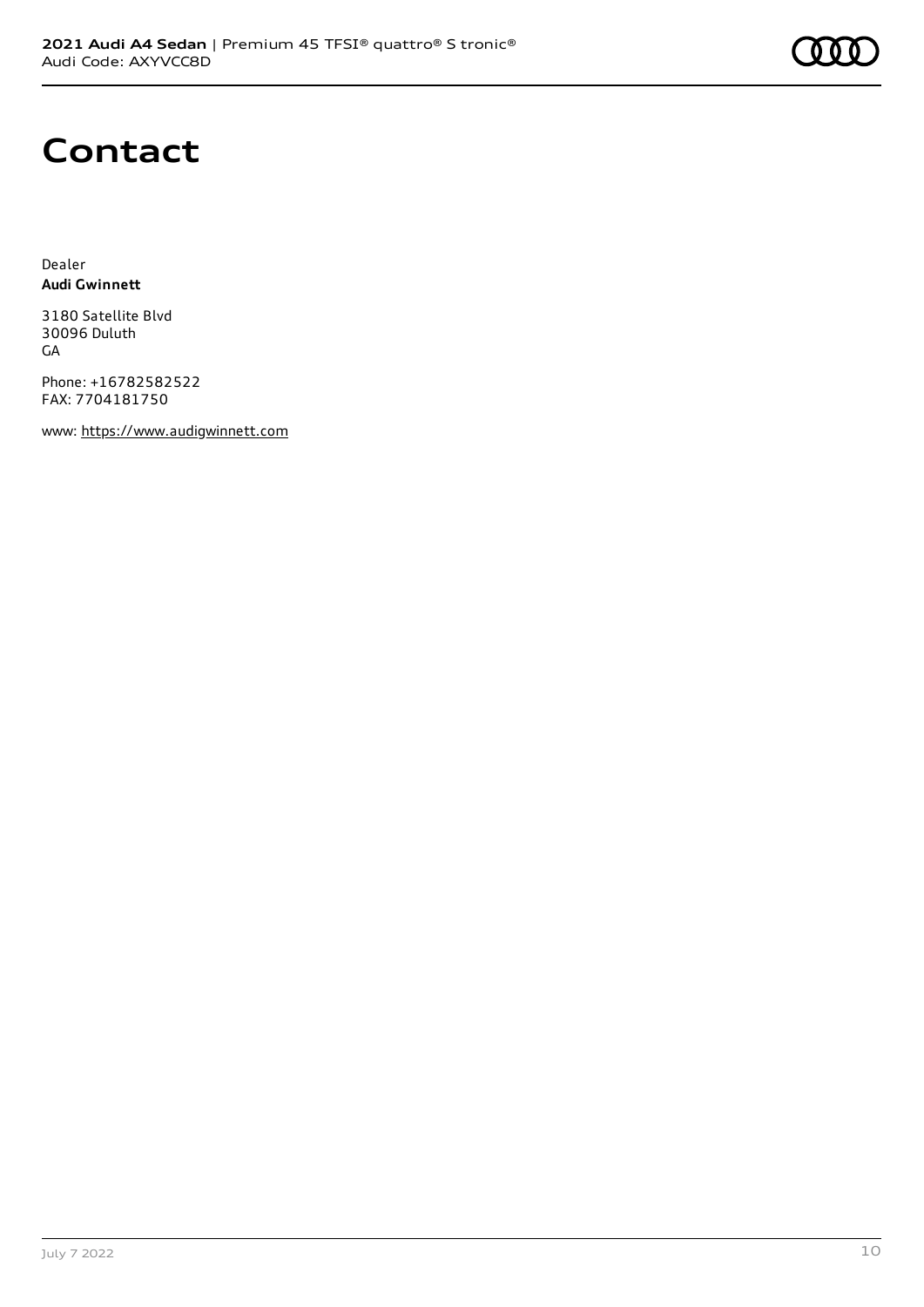

## **Contact**

Dealer **Audi Gwinnett**

3180 Satellite Blvd 30096 Duluth GA

Phone: +16782582522 FAX: 7704181750

www: [https://www.audigwinnett.com](https://www.audigwinnett.com/)